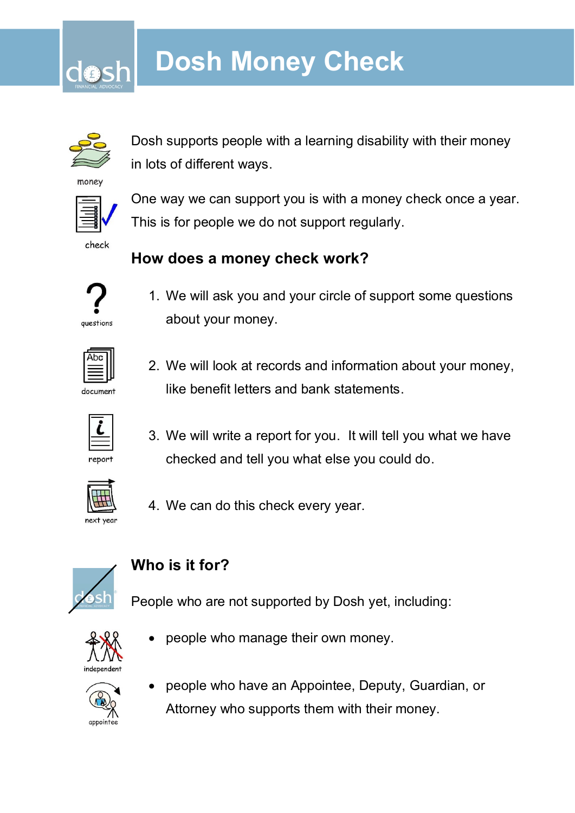# **Dosh Money Check**



Dosh supports people with a learning disability with their money in lots of different ways.

money



check

One way we can support you is with a money check once a year. This is for people we do not support regularly.

## **How does a money check work?**



1. We will ask you and your circle of support some questions about your money.



2. We will look at records and information about your money, like benefit letters and bank statements.



3. We will write a report for you. It will tell you what we have checked and tell you what else you could do.



4. We can do this check every year.



## **Who is it for?**

People who are not supported by Dosh yet, including:



people who manage their own money.



• people who have an Appointee, Deputy, Guardian, or Attorney who supports them with their money.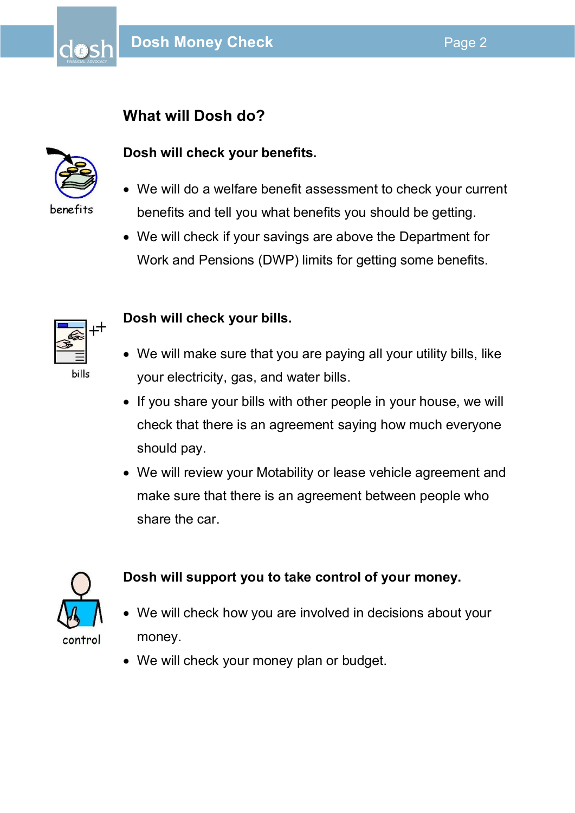### **What will Dosh do?**



dO:

#### **Dosh will check your benefits.**

- We will do a welfare benefit assessment to check your current benefits and tell you what benefits you should be getting.
- We will check if your savings are above the Department for Work and Pensions (DWP) limits for getting some benefits.



#### **Dosh will check your bills.**

- We will make sure that you are paying all your utility bills, like your electricity, gas, and water bills.
- If you share your bills with other people in your house, we will check that there is an agreement saying how much everyone should pay.
- We will review your Motability or lease vehicle agreement and make sure that there is an agreement between people who share the car.



#### **Dosh will support you to take control of your money.**

- We will check how you are involved in decisions about your money.
- We will check your money plan or budget.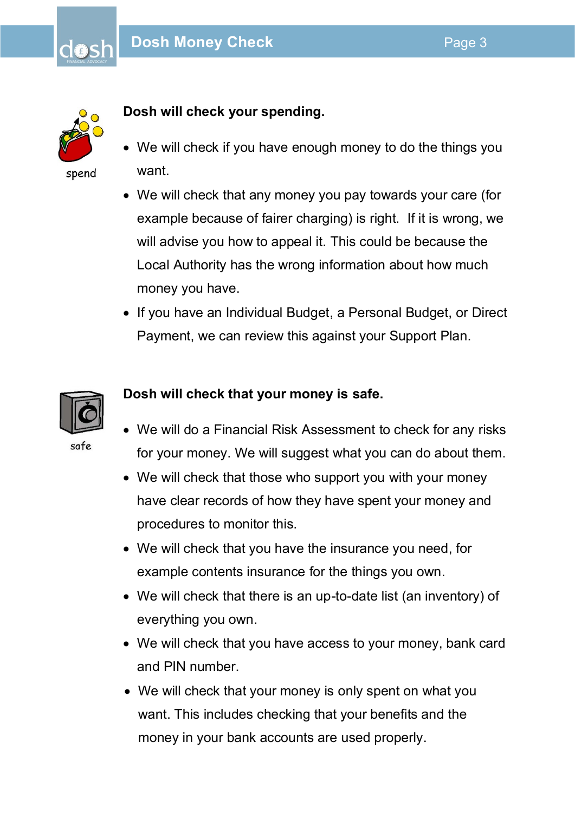

do:

#### **Dosh will check your spending.**

- We will check if you have enough money to do the things you want.
- We will check that any money you pay towards your care (for example because of fairer charging) is right. If it is wrong, we will advise you how to appeal it. This could be because the Local Authority has the wrong information about how much money you have.
- If you have an Individual Budget, a Personal Budget, or Direct Payment, we can review this against your Support Plan.



#### **Dosh will check that your money is safe.**

- We will do a Financial Risk Assessment to check for any risks for your money. We will suggest what you can do about them.
- We will check that those who support you with your money have clear records of how they have spent your money and procedures to monitor this.
- We will check that you have the insurance you need, for example contents insurance for the things you own.
- We will check that there is an up-to-date list (an inventory) of everything you own.
- We will check that you have access to your money, bank card and PIN number.
- We will check that your money is only spent on what you want. This includes checking that your benefits and the money in your bank accounts are used properly.